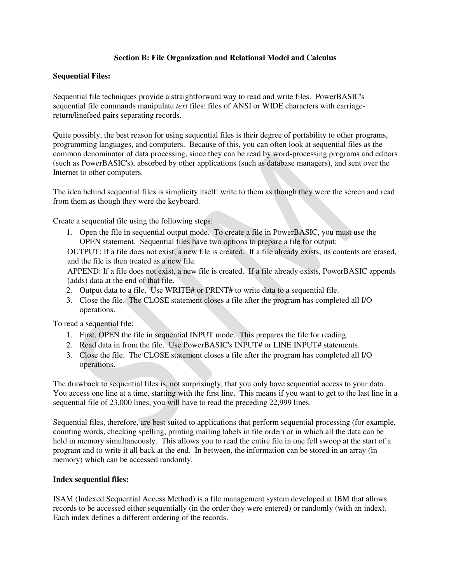## **Section B: File Organization and Relational Model and Calculus**

## **Sequential Files:**

Sequential [file](https://www.powerbasic.com/help/pbcc/files.htm) techniques provide a straightforward way to read and write files. PowerBASIC's sequential file commands manipulate *text* files: files of [ANSI](https://www.powerbasic.com/help/pbcc/characters,_strings,_and_unicode.htm) or [WIDE](https://www.powerbasic.com/help/pbcc/characters,_strings,_and_unicode.htm) characters with carriagereturn/linefeed pairs separating records.

Quite possibly, the best reason for using sequential files is their degree of portability to other programs, programming languages, and computers. Because of this, you can often look at sequential files as the common denominator of data processing, since they can be read by word-processing programs and editors (such as PowerBASIC's), absorbed by other applications (such as database managers), and sent over the Internet to other computers.

The idea behind sequential files is simplicity itself: write to them as though they were the screen and read from them as though they were the keyboard.

Create a sequential file using the following steps:

1. Open the file in sequential output mode. To create a file in PowerBASIC, you must use the [OPEN](https://www.powerbasic.com/help/pbcc/open_statement.htm) statement. Sequential files have two options to prepare a file for output:

OUTPUT: If a file does not exist, a new file is created. If a file already exists, its contents are erased, and the file is then treated as a new file.

APPEND: If a file does not exist, a new file is created. If a file already exists, PowerBASIC appends (adds) data at the end of that file.

- 2. Output data to a file. Use [WRITE#](https://www.powerbasic.com/help/pbcc/write_statement.htm) or [PRINT#](https://www.powerbasic.com/help/pbcc/print_statement1.htm) to write data to a sequential file.
- 3. Close the file. Th[e CLOSE](https://www.powerbasic.com/help/pbcc/close_statement.htm) statement closes a file after the program has completed all I/O operations.

To read a sequential file:

- 1. First, OPEN the file in sequential INPUT mode. This prepares the file for reading.
- 2. Read data in from the file. Use PowerBASIC's [INPUT#](https://www.powerbasic.com/help/pbcc/input_statement1.htm) or [LINE INPUT#](https://www.powerbasic.com/help/pbcc/line_input_statement1.htm) statements.
- 3. Close the file. The CLOSE statement closes a file after the program has completed all I/O operations.

The drawback to sequential files is, not surprisingly, that you only have sequential access to your data. You access one line at a time, starting with the first line. This means if you want to get to the last line in a sequential file of 23,000 lines, you will have to read the preceding 22,999 lines.

Sequential files, therefore, are best suited to applications that perform sequential processing (for example, counting words, checking spelling, printing mailing labels in file order) or in which all the data can be held in memory simultaneously. This allows you to read the entire file in one fell swoop at the start of a program and to write it all back at the end. In between, the information can be stored in an array (in memory) which can be accessed randomly.

## **Index sequential files:**

ISAM (Indexed Sequential Access Method) is a file management system developed at IBM that allows records to be accessed either sequentially (in the order they were entered) or randomly (with an index). Each index defines a different ordering of the records.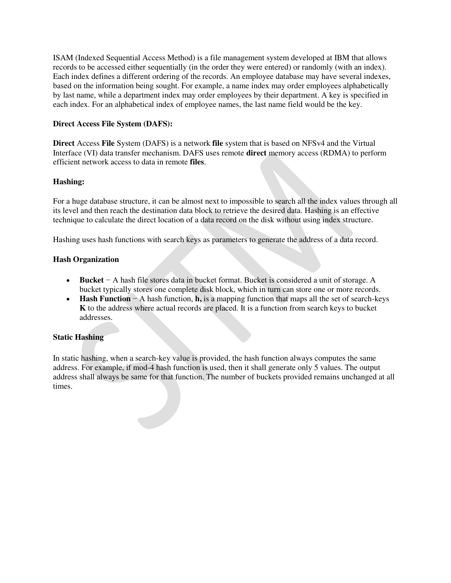ISAM (Indexed Sequential Access Method) is a file management system developed at IBM that allows [records](http://searchoracle.techtarget.com/definition/record) to be accessed either sequentially (in the order they were entered) or randomly (with an index). Each index defines a different ordering of the records. An employee database may have several indexes, based on the information being sought. For example, a name index may order employees alphabetically by last name, while a department index may order employees by their department. A key is specified in each index. For an alphabetical index of employee names, the last name field would be the key.

# **Direct Access File System (DAFS):**

**Direct** Access **File** System (DAFS) is a network **file** system that is based on NFSv4 and the Virtual Interface (VI) data transfer mechanism. DAFS uses remote **direct** memory access (RDMA) to perform efficient network access to data in remote **files**.

# **Hashing:**

For a huge database structure, it can be almost next to impossible to search all the index values through all its level and then reach the destination data block to retrieve the desired data. Hashing is an effective technique to calculate the direct location of a data record on the disk without using index structure.

Hashing uses hash functions with search keys as parameters to generate the address of a data record.

# **Hash Organization**

- **Bucket** − A hash file stores data in bucket format. Bucket is considered a unit of storage. A bucket typically stores one complete disk block, which in turn can store one or more records.
- **Hash Function** − A hash function, **h,** is a mapping function that maps all the set of search-keys **K** to the address where actual records are placed. It is a function from search keys to bucket addresses.

## **Static Hashing**

In static hashing, when a search-key value is provided, the hash function always computes the same address. For example, if mod-4 hash function is used, then it shall generate only 5 values. The output address shall always be same for that function. The number of buckets provided remains unchanged at all times.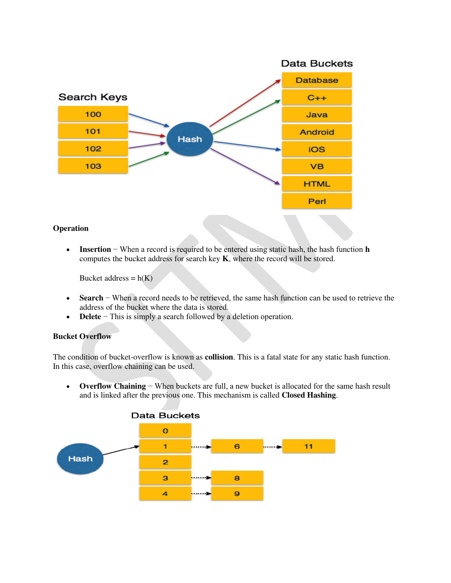

## **Operation**

 **Insertion** − When a record is required to be entered using static hash, the hash function **h** computes the bucket address for search key **K**, where the record will be stored.

Bucket address =  $h(K)$ 

- **Search** − When a record needs to be retrieved, the same hash function can be used to retrieve the address of the bucket where the data is stored.
- **Delete** − This is simply a search followed by a deletion operation.

# **Bucket Overflow**

The condition of bucket-overflow is known as **collision**. This is a fatal state for any static hash function. In this case, overflow chaining can be used.

■ **Overflow Chaining** – When buckets are full, a new bucket is allocated for the same hash result and is linked after the previous one. This mechanism is called **Closed Hashing**.

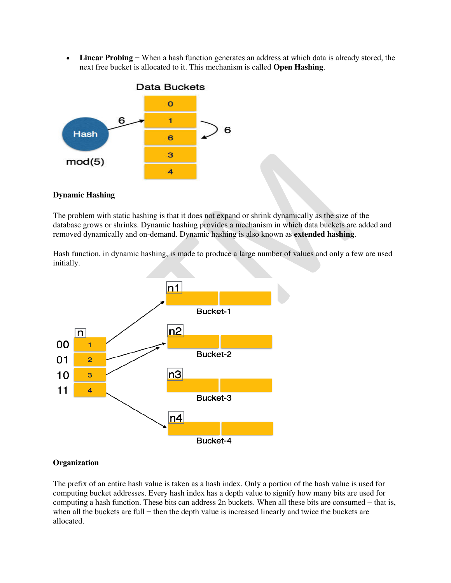**Linear Probing** − When a hash function generates an address at which data is already stored, the next free bucket is allocated to it. This mechanism is called **Open Hashing**.



## **Dynamic Hashing**

The problem with static hashing is that it does not expand or shrink dynamically as the size of the database grows or shrinks. Dynamic hashing provides a mechanism in which data buckets are added and removed dynamically and on-demand. Dynamic hashing is also known as **extended hashing**.

Hash function, in dynamic hashing, is made to produce a large number of values and only a few are used initially.



#### **Organization**

The prefix of an entire hash value is taken as a hash index. Only a portion of the hash value is used for computing bucket addresses. Every hash index has a depth value to signify how many bits are used for computing a hash function. These bits can address 2n buckets. When all these bits are consumed − that is, when all the buckets are full − then the depth value is increased linearly and twice the buckets are allocated.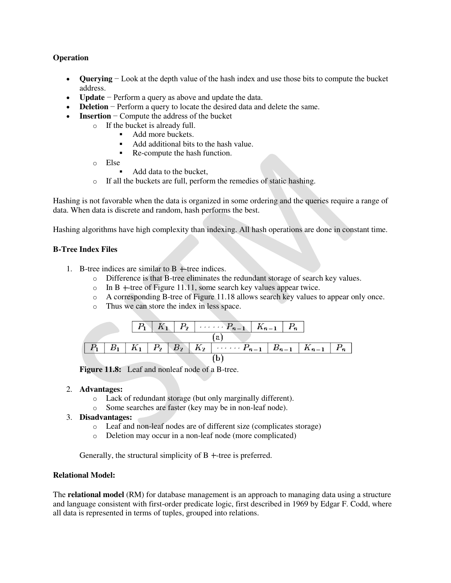# **Operation**

- **Querying** − Look at the depth value of the hash index and use those bits to compute the bucket address.
- **Update** − Perform a query as above and update the data.
- **Deletion** − Perform a query to locate the desired data and delete the same.
- **Insertion** − Compute the address of the bucket
	- o If the bucket is already full.
		- Add more buckets.
		- Add additional bits to the hash value.
		- Re-compute the hash function.
	- o Else
		- Add data to the bucket,
	- o If all the buckets are full, perform the remedies of static hashing.

Hashing is not favorable when the data is organized in some ordering and the queries require a range of data. When data is discrete and random, hash performs the best.

Hashing algorithms have high complexity than indexing. All hash operations are done in constant time.

## **B-Tree Index Files**

- 1. B-tree indices are similar to  $B$  +-tree indices.
	- o Difference is that B-tree eliminates the redundant storage of search key values.
	- $\circ$  In B +-tree of Figure 11.11, some search key values appear twice.
	- o A corresponding B-tree of Figure 11.18 allows search key values to appear only once.
	- o Thus we can store the index in less space.



**Figure 11.8:** Leaf and nonleaf node of a B-tree.

## 2. **Advantages:**

- o Lack of redundant storage (but only marginally different).
- o Some searches are faster (key may be in non-leaf node).

# 3. **Disadvantages:**

- o Leaf and non-leaf nodes are of different size (complicates storage)
- o Deletion may occur in a non-leaf node (more complicated)

Generally, the structural simplicity of  $B$  +-tree is preferred.

## **Relational Model:**

The **relational model** (RM) for database management is an approach to managing data using a structure and language consistent with first-order predicate logic, first described in 1969 by Edgar F. Codd, where all data is represented in terms of tuples, grouped into relations.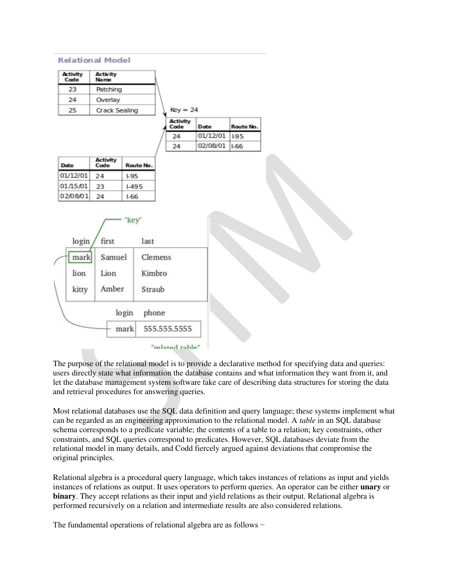#### **Relational Model**

| <b>Activity</b><br>Code  | <b>Activity</b><br>Name |               |                   |                         |          |             |
|--------------------------|-------------------------|---------------|-------------------|-------------------------|----------|-------------|
| 23                       | Patching                |               |                   |                         |          |             |
| 24                       | Overlay                 |               |                   |                         |          |             |
| 25                       | Crack Sealing           |               |                   | $Key = 24$              |          |             |
|                          |                         |               |                   | <b>Activity</b><br>Code | Date     | Route No.   |
|                          |                         |               |                   | 24                      | 01/12/01 | 1-95        |
|                          |                         |               |                   | 24                      | 02/08/01 | <b>I-66</b> |
| Date                     | <b>Activity</b><br>Code | Route No.     |                   |                         |          |             |
| 01/12/01                 | 24                      | <b>L95</b>    |                   |                         |          |             |
| 01/15/01                 | <b>1495</b><br>23       |               |                   |                         |          |             |
| 02/08/01<br>24<br>$1-66$ |                         |               |                   |                         |          |             |
| login<br>mark<br>lion    | first<br>Samuel<br>Lion | "key"<br>last | Clemens<br>Kimbro |                         |          |             |
| kitty                    | Amber                   | login<br>mark | Straub<br>phone   | 555.555.5555            |          |             |
| <b>Contract</b>          |                         |               |                   | "related table"         |          |             |

The purpose of the relational model is to provide a [declarative](https://en.wikipedia.org/wiki/Declarative_programming) method for specifying data and queries: users directly state what information the database contains and what information they want from it, and let the database management system software take care of describing data structures for storing the data and retrieval procedures for answering queries.

Most relational databases use the [SQL](https://en.wikipedia.org/wiki/SQL) data definition and query language; these systems implement what can be regarded as an engineering approximation to the relational model. A *table* in an SQL database schema corresponds to a predicate variable; the contents of a table to a relation; key constraints, other constraints, and SQL queries correspond to predicates. However, SQL databases [deviate from the](https://en.wikipedia.org/wiki/Relational_model#SQL_and_the_relational_model)  [relational model in many details,](https://en.wikipedia.org/wiki/Relational_model#SQL_and_the_relational_model) and Codd fiercely argued against deviations that compromise the original principles.

Relational algebra is a procedural query language, which takes instances of relations as input and yields instances of relations as output. It uses operators to perform queries. An operator can be either **unary** or **binary**. They accept relations as their input and yield relations as their output. Relational algebra is performed recursively on a relation and intermediate results are also considered relations.

The fundamental operations of relational algebra are as follows −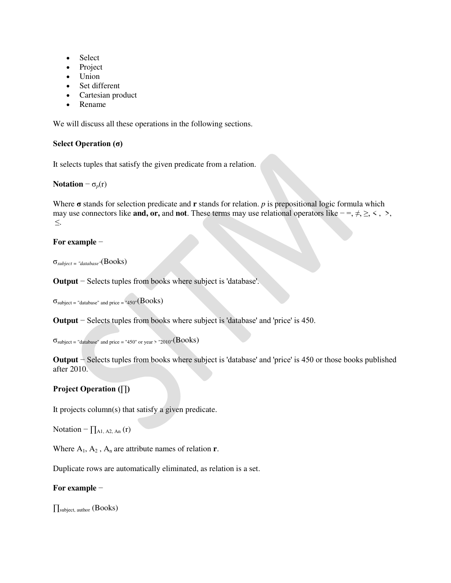- Select
- Project
- Union
- Set different
- Cartesian product
- Rename

We will discuss all these operations in the following sections.

# **Select Operation (σ)**

It selects tuples that satisfy the given predicate from a relation.

**Notation** –  $\sigma_p(r)$ 

Where **σ** stands for selection predicate and **r** stands for relation. *p* is prepositional logic formula which may use connectors like **and, or,** and **not**. These terms may use relational operators like − =, ≠, ≥, < , >, ≤.

#### **For example** −

```
σsubject = "database"(Books)
```
**Output** − Selects tuples from books where subject is 'database'.

 $\sigma_{\text{subject}}$  = "database" and price = "450"(BOOks)

**Output** − Selects tuples from books where subject is 'database' and 'price' is 450.

```
\sigma_{\text{subject}} = "database" and price = "450" or year > "2010"(BOOks)
```
**Output** − Selects tuples from books where subject is 'database' and 'price' is 450 or those books published after 2010.

## **Project Operation (∏)**

It projects column(s) that satisfy a given predicate.

Notation –  $\prod_{A1, A2, A_n}(r)$ 

Where  $A_1$ ,  $A_2$ ,  $A_n$  are attribute names of relation **r**.

Duplicate rows are automatically eliminated, as relation is a set.

## **For example** −

∏subject, author (Books)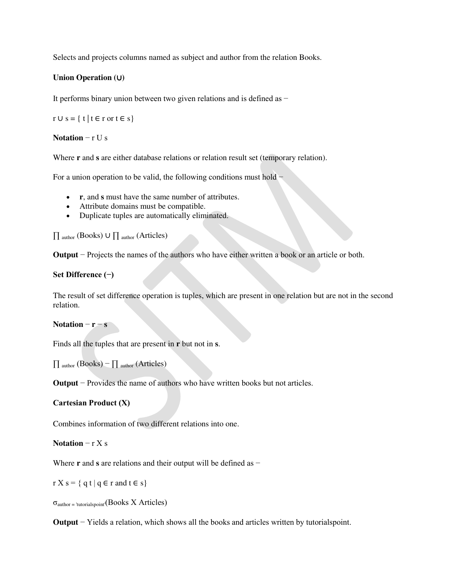Selects and projects columns named as subject and author from the relation Books.

## **Union Operation (**∪**)**

It performs binary union between two given relations and is defined as −

 $r \cup s = \{ t | t \in r \text{ or } t \in s \}$ 

#### **Notation**  $-r U s$

Where **r** and **s** are either database relations or relation result set (temporary relation).

For a union operation to be valid, the following conditions must hold −

- **r**, and **s** must have the same number of attributes.
- Attribute domains must be compatible.
- Duplicate tuples are automatically eliminated.

∏ author (Books) ∪ ∏ author (Articles)

**Output** − Projects the names of the authors who have either written a book or an article or both.

#### **Set Difference (−)**

The result of set difference operation is tuples, which are present in one relation but are not in the second relation.

#### $Notation - r - s$

Finds all the tuples that are present in **r** but not in **s**.

 $\prod$  author (Books) –  $\prod$  author (Articles)

**Output** − Provides the name of authors who have written books but not articles.

## **Cartesian Product (Χ)**

Combines information of two different relations into one.

#### Notation  $-r X s$

Where **r** and **s** are relations and their output will be defined as −

 $r X s = \{ q t | q \in r \text{ and } t \in s \}$ 

σauthor = 'tutorialspoint'(Books Χ Articles)

**Output** − Yields a relation, which shows all the books and articles written by tutorialspoint.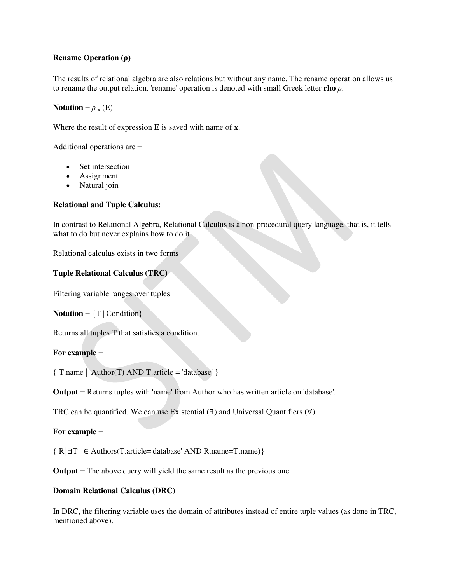## **Rename Operation (ρ)**

The results of relational algebra are also relations but without any name. The rename operation allows us to rename the output relation. 'rename' operation is denoted with small Greek letter **rho** *ρ*.

#### **Notation** −  $\rho_x(E)$

Where the result of expression **E** is saved with name of **x**.

Additional operations are −

- Set intersection
- Assignment
- Natural join

#### **Relational and Tuple Calculus:**

In contrast to Relational Algebra, Relational Calculus is a non-procedural query language, that is, it tells what to do but never explains how to do it.

Relational calculus exists in two forms −

## **Tuple Relational Calculus (TRC)**

Filtering variable ranges over tuples

**Notation** − {T | Condition}

Returns all tuples T that satisfies a condition.

#### **For example** −

{ T.name | Author(T) AND T.article = 'database' }

**Output** − Returns tuples with 'name' from Author who has written article on 'database'.

TRC can be quantified. We can use Existential (∃) and Universal Quantifiers (∀).

#### **For example** −

{ R| ∃T ∈ Authors(T.article='database' AND R.name=T.name)}

**Output** − The above query will yield the same result as the previous one.

#### **Domain Relational Calculus (DRC)**

In DRC, the filtering variable uses the domain of attributes instead of entire tuple values (as done in TRC, mentioned above).